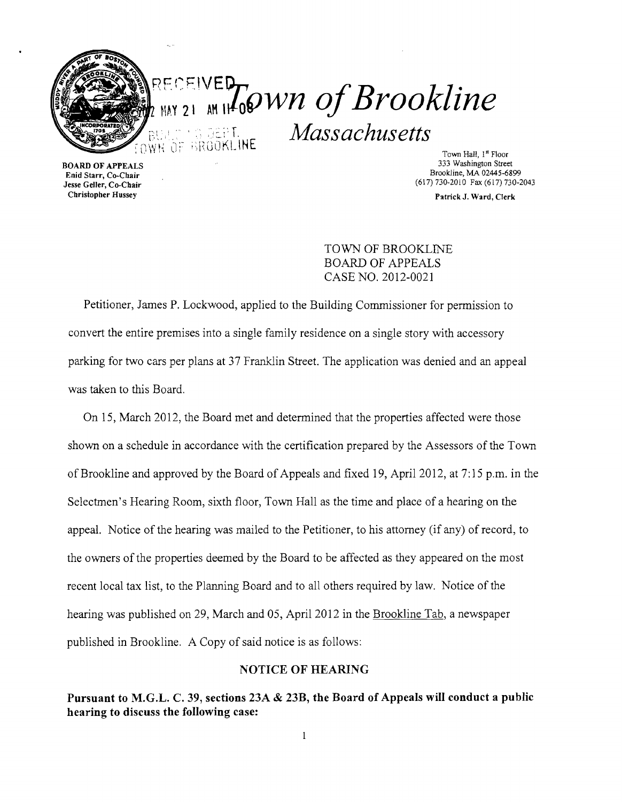

Town Hall, 1<sup>st</sup> Floor<br>333 Washington Street Enid Starr, Co-Chair Brookline, MA 02445-6899<br>
Lesse Geller, Co-Chair (617) 730-2010 Fax (617) 730-2010 (617)730-2010 Fax (617)730-2043

Christopher Hussey Patrick J. Ward, Clerk

TOWN OF BROOKLINE BOARD OF APPEALS CASE NO. 2012-0021

Petitioner, James P. Lockwood, applied to the Building Commissioner for permission to convert the entire premises into a single family residence on a single story with accessory parking for two cars per plans at 37 Franklin Street. The application was denied and an appeal was taken to this Board.

On 15, March 2012, the Board met and detennined that the properties affected were those shown on a schedule in accordance with the certification prepared by the Assessors of the Town of Brookline and approved by the Board of Appeals and fixed 19, April 2012, at 7:15 p.m. in the Selectmen's Hearing Room, sixth floor, Town Hall as the time and place of a hearing on the appeal. Notice of the hearing was mailed to the Petitioner, to his attorney (if any) of record, to the owners of the properties deemed by the Board to be affected as they appeared on the most recent local tax list, to the Plarming Board and to all others required by law. Notice of the hearing was published on 29, March and 05, April 2012 in the Brookline Tab, a newspaper published in Brookline. A Copy of said notice is as follows:

## NOTICE OF HEARING

Pursuant to M.G.L. C. 39, sections 23A & 23B, the Board of Appeals will conduct a public hearing to discuss the following case:

 $\mathbf{1}$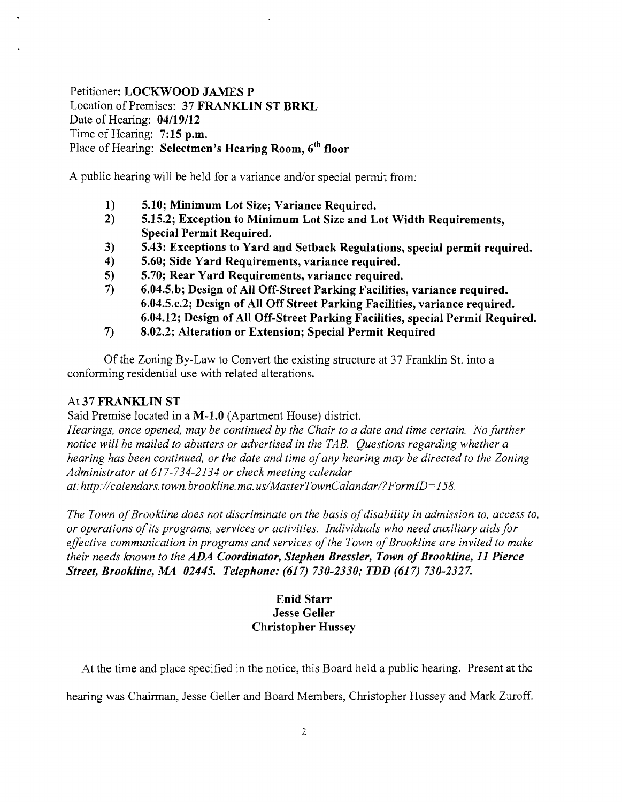Petitioner: LOCKWOOD JAMES P Location of Premises: 37 FRANKLIN ST BRKL Date of Hearing:  $04/19/12$ Time of Hearing: 7:15 p.m. Place of Hearing: Selectmen's Hearing Room, 6<sup>th</sup> floor

A public hearing will be held for a variance and/or special permit from:

- 1) 5.10; Minimum Lot Size; Variance Required.<br>2) 5.15.2; Exception to Minimum Lot Size and L
- 5.15.2; Exception to Minimum Lot Size and Lot Width Requirements, Special Permit Required.
- 3) 5.43: Exceptions to Yard and Setback Regulations, special permit required.
- 4) 5.60; Side Yard Requirements, variance required.
- 5) 5.70; Rear Yard Requirements, variance required.
- 7) 6.04.5.b; Design of All Off-Street Parking Facilities, variance required. 6.04.5.c.2; Design of All Off Street Parking Facilities, variance required. 6.04.12; Design of All Off-Street Parking Facilities, special Permit Required.
- 7) 8.02.2; Alteration or Extension; Special Permit Required

Of the Zoning By-Law to Convert the existing structure at 37 Franklin St. into a conforming residential use with related alterations.

## At 37 FRANKLIN ST

Said Premise located in a M-1.0 (Apartment House) district.

*Hearings, once opened, may be continued by the Chair to a date and time certain. No further notice will be mailed to abutters or advertised in the TAB. Questions regarding whether a hearing has been continued, or the date and time ofany hearing may be directed to the Zoning Administrator at* 617-734-2134 *or check meeting calendar* 

*at:http://calendars.town.brookline.ma.usIMasterTownCalandarl?FormID=*158.

*The Town of Brookline does not discriminate on the basis of disability in admission to, access to, or operations ofits programs, services or activities. Individuals who need auxiliary aids for*  effective communication in programs and services of the Town of Brookline are invited to make *their needs known to the ADA Coordinator, Stephen Bressler, Town of Brookline, 11 Pierce Street, Brookline, M4 02445. Telephone:* (617) *730-2330,. TDD* (617) *730-2327.* 

## Enid Starr Jesse Geller Christopher Hussey

At the time and place specified in the notice, this Board held a public hearing. Present at the

hearing was Chairman, Jesse Geller and Board Members, Christopher Hussey and Mark Zuroff.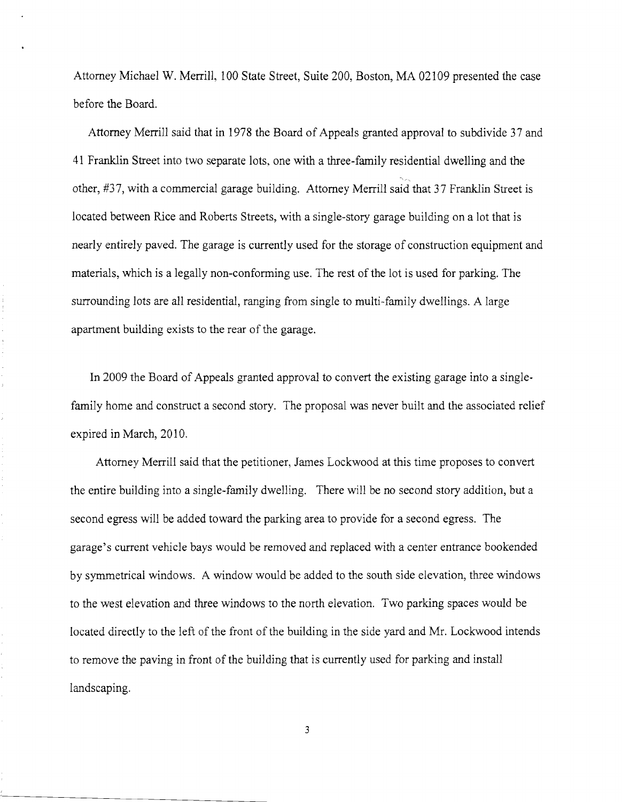Attorney Michael W. Merrill, 100 State Street, Suite 200, Boston, MA 02109 presented the case before the Board.

Attorney Merrill said that in 1978 the Board of Appeals granted approval to subdivide 37 and 41 Franklin Street into two separate lots, one with a three-family residential dwelling and the other, #37, with a commercial garage building. Attorney Merrill said that 37 Franklin Street is located between *Rice* and Roberts Streets, with a single-story garage building on a lot that is nearly entirely paved. The garage is currently used for the storage of construction equipment and materials, which is a legally non-conforming use. The rest of the lot is used for parking. The surrounding lots are all residential, ranging from single to multi-family dwellings. A large apartment building exists to the rear of the garage.

In 2009 the Board of Appeals granted approval to convert the existing garage into a singlefamily home and construct a second story. The proposal was never built and the associated relief expired in March, 2010.

Attorney Merrill said that the petitioner, James Lockwood at this time proposes to convert the entire building into a single-family dwelling. There will be no second story addition, but a second egress will be added toward the parking area to provide for a second egress. The garage's current vehicle bays would be removed and replaced with a center entrance bookended by symmetrical windows. A window would be added to the south side elevation, three windows to the west elevation and three windows to the north elevation. Two parking spaces would be located directly to the left of the front of the building in the side yard and Mr. Lockwood intends to remove the paving in front of the building that is currently used for parking and install landscaping.

3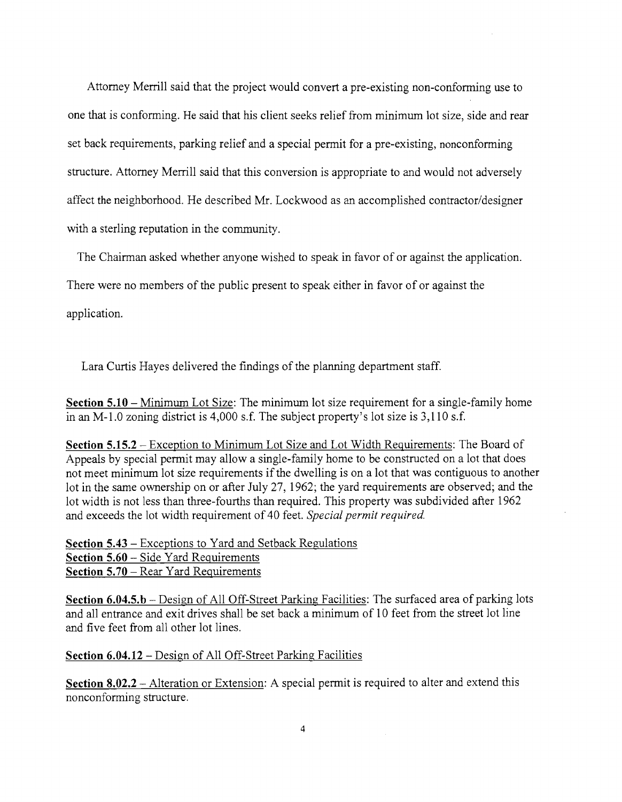Attorney Merrill said that the project would convert a pre-existing non-conforming use to one that is confonning. He said that his client seeks relief from minimum lot size, side and rear set back requirements, parking relief and a special permit for a pre-existing, nonconforming structure. Attorney Merrill said that this conversion is appropriate to and would not adversely affect the neighborhood. He described Mr. Lockwood as an accomplished contractor/designer with a sterling reputation **in** the community.

The Chairman asked whether anyone wished to speak in favor of or against the application.

There were no members of the public present to speak either **in** favor of or against the

application.

Lara Curtis Hayes delivered the findings of the planning department staff.

**Section 5.10** – Minimum Lot Size: The minimum lot size requirement for a single-family home **in** an M-l.O zoning district is 4,000 s.f. The subject property's lot size is 3,110 s.f.

**Section 5.15.2** - Exception to Minimum Lot Size and Lot Width Reguirements: The Board of Appeals by special permit may allow a single-family home to be constructed on a lot that does not meet minimum lot size requirements if the dwelling is on a lot that was contiguous to another lot **in** the same ownership on or after July 27, 1962; the yard requirements are observed; and the lot width is not less than three-fourths than required. This property was subdivided after 1962 and exceeds the lot width requirement of 40 feet. *Special permit required.* 

**Section 5.43** - Exceptions to Yard and Setback Regulations **Section 5.60** – Side Yard Requirements **Section 5.70** – Rear Yard Requirements

**Section 6.04.5.b** – Design of All Off-Street Parking Facilities: The surfaced area of parking lots and all entrance and exit drives shall be set back a minimum of 10 feet from the street lot line and five feet from all other lot lines.

## **Section 6.04.12** - Design of All Off-Street Parking Facilities

**Section 8.02.2** – Alteration or Extension: A special permit is required to alter and extend this nonconfonning structure.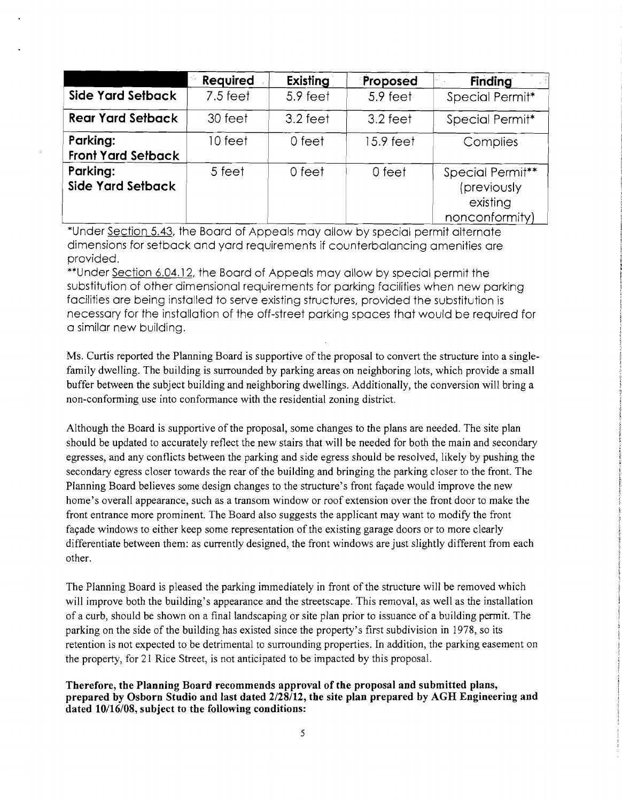|                                       | <b>Required</b> | Existing   | Proposed  | <b>Finding</b>                                                |
|---------------------------------------|-----------------|------------|-----------|---------------------------------------------------------------|
| <b>Side Yard Setback</b>              | $7.5$ feet      | 5.9 feet   | 5.9 feet  | Special Permit*                                               |
| <b>Rear Yard Setback</b>              | 30 feet         | $3.2$ feet | 3.2 feet  | Special Permit*                                               |
| Parking:<br><b>Front Yard Setback</b> | 10 feet         | 0 feet     | 15.9 feet | Complies                                                      |
| Parking:<br><b>Side Yard Setback</b>  | 5 feet          | 0 feet     | 0 feet    | Special Permit**<br>(previously<br>existing<br>nonconformity) |

\*Under Section 5.43, the Board of Appeals may allow by special permit alternate dimensions for setback and yard requirements if counterbalancing amenities are provided.

\*\*Under Section 6.04.12, the Board of Appeals may allow by special permit the substitution of other dimensional requirements for parking facilities when new parking facilities are being installed to serve existing structures, provided the substitution is necessary for the installation of the off-street parking spaces that would be required for a similar new building.

Ms. Curtis reported the Planning Board is supportive of the proposal to convert the structure into a singlefamily dwelling. The building is surrounded by parking areas on neighboring lots, which provide a small buffer between the subject building and neighboring dwellings. Additionally, the conversion will bring a non-conforming use into conformance with the residential zoning district.

Although the Board is supportive of the proposal, some changes to the plans are needed. The site plan should be updated to accurately reflect the new stairs that will be needed for both the main and secondary egresses, and any conflicts between the parking and side egress should be resolved, likely by pushing the secondary egress closer towards the rear of the building and bringing the parking closer to the front. The Planning Board believes some design changes to the structure's front façade would improve the new home's overall appearance, such as a transom window or roof extension over the front door to make the front entrance more prominent. The Board also suggests the applicant may want to modify the front facade windows to either keep some representation of the existing garage doors or to more clearly differentiate between them: as currently designed, the front windows are just slightly different from each other.

The Planning Board is pleased the parking immediately in front of the structure will be removed which will improve both the building's appearance and the streetscape. This removal, as well as the installation of a curb, should be shown on a final landscaping or site plan prior to issuance of a building permit. The parking on the side of the building has existed since the property's first subdivision in 1978, so its retention is not expected to be detrimental to surrounding properties. In addition, the parking easement on the property, for 21 Rice Street, is not anticipated to be impacted by this proposal.

Therefore, the Planning Board recommends approval of the proposal and submitted plans, prepared by Osborn Studio and last dated 2/28/12, the site plan prepared by AGH Engineering and dated 10/16/08, subject to the following conditions: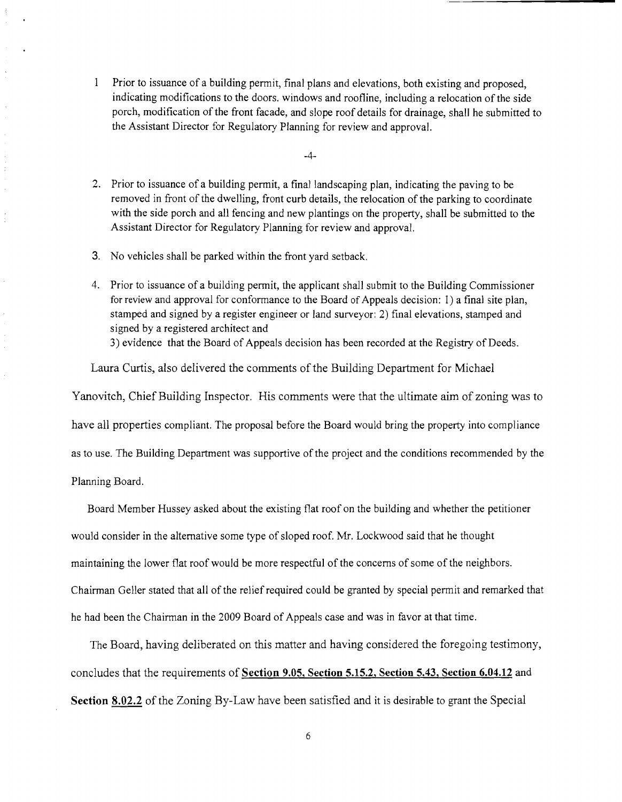Prior to issuance of a building penni!, final plans and elevations, both existing and proposed, indicating modifications to the doors. windows and roofline, including a relocation of the side porch, modification of the front facade, and slope roof details for drainage, shall he submitted to the Assistant Director for Regulatory Planning for review and approval.

 $-4-$ 

- 2. Prior to issuance of a building pennit, a final landscaping plan, indicating the paving to be removed in front of the dwelling, front curb details, the relocation of the parking to coordinate with the side porch and all fencing and new plantings on the property, shall be submitted to the Assistant Director for Regulatory Planning for review and approval.
- 3. No vehicles shall be parked within the front yard setback.
- 4. Prior to issuance of a building pennit, the applicant shall submit to the Building Commissioner for review and approval for conformance to the Board of Appeals decision: 1) a final site plan, stamped and signed by a register engineer or land surveyor: 2) final elevations, stamped and signed by a registered architect and

3) evidence that the Board of Appeals decision has been recorded at the Registry of Deeds.

Laura Curtis, also delivered the comments of the Building Department for Michael

Yanovitch, Chief Building Inspector. His comments were that the ultimate aim of zoning was to

have all properties compliant. The proposal before the Board would bring the property into compliance

as to use. The Building Department was supportive of the project and the conditions recommended by the

Planning Board.

 $\bar{z}$ 

Ĵ, ţ

 $\frac{1}{2}$ 

Board Member Hussey asked about the existing flat roof on the building and whether the petitioner would consider in the alternative some type of sloped roof. Mr. Lockwood said that he thought maintaining the lower flat roof would be more respectful of the concerns of some of the neighbors. Chairman Geller stated that all of the relief required could be granted by special permit and remarked that he had been the Chainnan in the 2009 Board of Appeals case and was in favor at that time.

The Board, having deliberated on this matter and having considered the foregoing testimony, concludes that the requirements of **Section 9.05, Section 5.15.2, Section 5.43, Section 6.04.12** and **Section 8.02.2** of the Zoning By-Law have been satisfied and it is desirable to grant the Special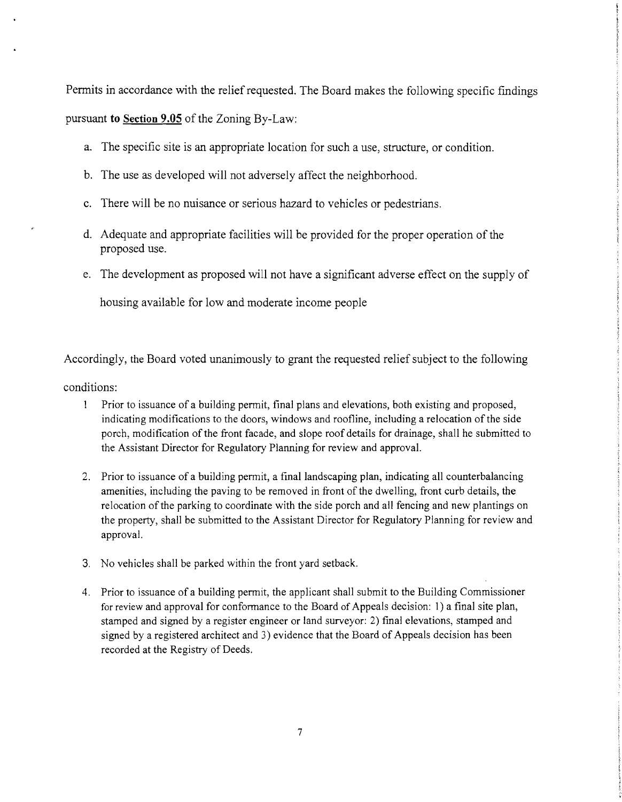Permits in accordance with the relief requested. The Board makes the following specific fmdings pursuant **to Section 9.05** of the Zoning By-Law:

- a. The specific site is an appropriate location for such a use, structure, or condition.
- b. The use as developed will not adversely affect the neighborhood.
- c. There will be no nuisance or serious hazard to vehicles or pedestrians.
- d. Adequate and appropriate facilities will be provided for the proper operation of the proposed use.
- e. The development as proposed will not have a significant adverse effect on the supply of

housing available for low and moderate income people

Accordingly, the Board voted unanimously to grant the requested relief subject to the following

conditions:

- $\mathbf{1}$ Prior to issuance of a building permit, final plans and elevations, both existing and proposed, indicating modifications to the doors, windows and roofline, including a relocation of the side porch, modification of the front facade, and slope roof details for drainage, shall he submitted to the Assistant Director for Regulatory Planning for review and approval.
- 2. Prior to issuance of a building permit, a final landscaping plan, indicating all counterbalancing amenities, including the paving to be removed in front of the dwelling, front curb details, the relocation of the parking to coordinate with the side porch and all fencing and new plantings on the property, shall be submitted to the Assistant Director for Regulatory Planning for review and approval.
- 3. No vehicles shall be parked within the front yard setback.
- 4. Prior to issuance of a building permit, the applicant shall submit to the Building Commissioner for review and approval for conformance to the Board of Appeals decision: 1) a final site plan, stamped and signed by a register engineer or land surveyor: 2) fmal elevations, stamped and signed by a registered architect and 3) evidence that the Board of Appeals decision has been recorded at the Registry of Deeds.